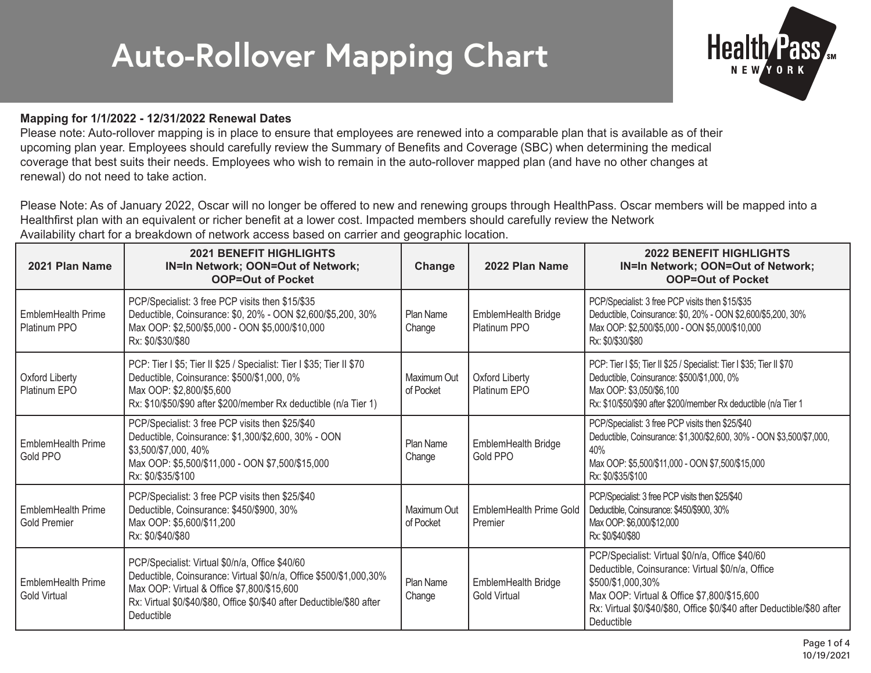## **Auto-Rollover Mapping Chart**



## **Mapping for 1/1/2022 - 12/31/2022 Renewal Dates**

Please note: Auto-rollover mapping is in place to ensure that employees are renewed into a comparable plan that is available as of their upcoming plan year. Employees should carefully review the Summary of Benefits and Coverage (SBC) when determining the medical coverage that best suits their needs. Employees who wish to remain in the auto-rollover mapped plan (and have no other changes at renewal) do not need to take action.

Please Note: As of January 2022, Oscar will no longer be offered to new and renewing groups through HealthPass. Oscar members will be mapped into a Healthfirst plan with an equivalent or richer benefit at a lower cost. Impacted members should carefully review the Network Availability chart for a breakdown of network access based on carrier and geographic location.

| 2021 Plan Name                                   | <b>2021 BENEFIT HIGHLIGHTS</b><br>IN=In Network; OON=Out of Network;<br><b>OOP=Out of Pocket</b>                                                                                                                                                            | Change                     | 2022 Plan Name                             | <b>2022 BENEFIT HIGHLIGHTS</b><br>IN=In Network; OON=Out of Network;<br><b>OOP=Out of Pocket</b>                                                                                                                                                               |
|--------------------------------------------------|-------------------------------------------------------------------------------------------------------------------------------------------------------------------------------------------------------------------------------------------------------------|----------------------------|--------------------------------------------|----------------------------------------------------------------------------------------------------------------------------------------------------------------------------------------------------------------------------------------------------------------|
| EmblemHealth Prime<br>Platinum PPO               | PCP/Specialist: 3 free PCP visits then \$15/\$35<br>Deductible, Coinsurance: \$0, 20% - OON \$2,600/\$5,200, 30%<br>Max OOP: \$2,500/\$5,000 - OON \$5,000/\$10,000<br>Rx: \$0/\$30/\$80                                                                    | Plan Name<br>Change        | EmblemHealth Bridge<br>Platinum PPO        | PCP/Specialist: 3 free PCP visits then \$15/\$35<br>Deductible, Coinsurance: \$0, 20% - OON \$2,600/\$5,200, 30%<br>Max OOP: \$2,500/\$5,000 - OON \$5,000/\$10,000<br>Rx: \$0/\$30/\$80                                                                       |
| <b>Oxford Liberty</b><br>Platinum EPO            | PCP: Tier I \$5; Tier II \$25 / Specialist: Tier I \$35; Tier II \$70<br>Deductible, Coinsurance: \$500/\$1,000, 0%<br>Max OOP: \$2,800/\$5,600<br>Rx: \$10/\$50/\$90 after \$200/member Rx deductible (n/a Tier 1)                                         | Maximum Out<br>of Pocket   | Oxford Liberty<br>Platinum EPO             | PCP: Tier I \$5; Tier II \$25 / Specialist: Tier I \$35; Tier II \$70<br>Deductible, Coinsurance: \$500/\$1,000, 0%<br>Max OOP: \$3,050/\$6,100<br>Rx: \$10/\$50/\$90 after \$200/member Rx deductible (n/a Tier 1                                             |
| EmblemHealth Prime<br>Gold PPO                   | PCP/Specialist: 3 free PCP visits then \$25/\$40<br>Deductible, Coinsurance: \$1,300/\$2,600, 30% - OON<br>\$3,500/\$7,000,40%<br>Max OOP: \$5,500/\$11,000 - OON \$7,500/\$15,000<br>Rx: \$0/\$35/\$100                                                    | Plan Name<br>Change        | EmblemHealth Bridge<br>Gold PPO            | PCP/Specialist: 3 free PCP visits then \$25/\$40<br>Deductible, Coinsurance: \$1,300/\$2,600, 30% - OON \$3,500/\$7,000,<br>40%<br>Max OOP: \$5,500/\$11,000 - OON \$7,500/\$15,000<br>Rx: \$0/\$35/\$100                                                      |
| EmblemHealth Prime<br><b>Gold Premier</b>        | PCP/Specialist: 3 free PCP visits then \$25/\$40<br>Deductible, Coinsurance: \$450/\$900, 30%<br>Max OOP: \$5,600/\$11,200<br>Rx: \$0/\$40/\$80                                                                                                             | Maximum Out<br>of Pocket   | EmblemHealth Prime Gold<br>Premier         | PCP/Specialist: 3 free PCP visits then \$25/\$40<br>Deductible, Coinsurance: \$450/\$900, 30%<br>Max OOP: \$6,000/\$12,000<br>Rx: \$0/\$40/\$80                                                                                                                |
| <b>EmblemHealth Prime</b><br><b>Gold Virtual</b> | PCP/Specialist: Virtual \$0/n/a, Office \$40/60<br>Deductible, Coinsurance: Virtual \$0/n/a, Office \$500/\$1,000,30%<br>Max OOP: Virtual & Office \$7,800/\$15,600<br>Rx: Virtual \$0/\$40/\$80, Office \$0/\$40 after Deductible/\$80 after<br>Deductible | <b>Plan Name</b><br>Change | EmblemHealth Bridge<br><b>Gold Virtual</b> | PCP/Specialist: Virtual \$0/n/a, Office \$40/60<br>Deductible, Coinsurance: Virtual \$0/n/a, Office<br>\$500/\$1,000,30%<br>Max OOP: Virtual & Office \$7,800/\$15,600<br>Rx: Virtual \$0/\$40/\$80, Office \$0/\$40 after Deductible/\$80 after<br>Deductible |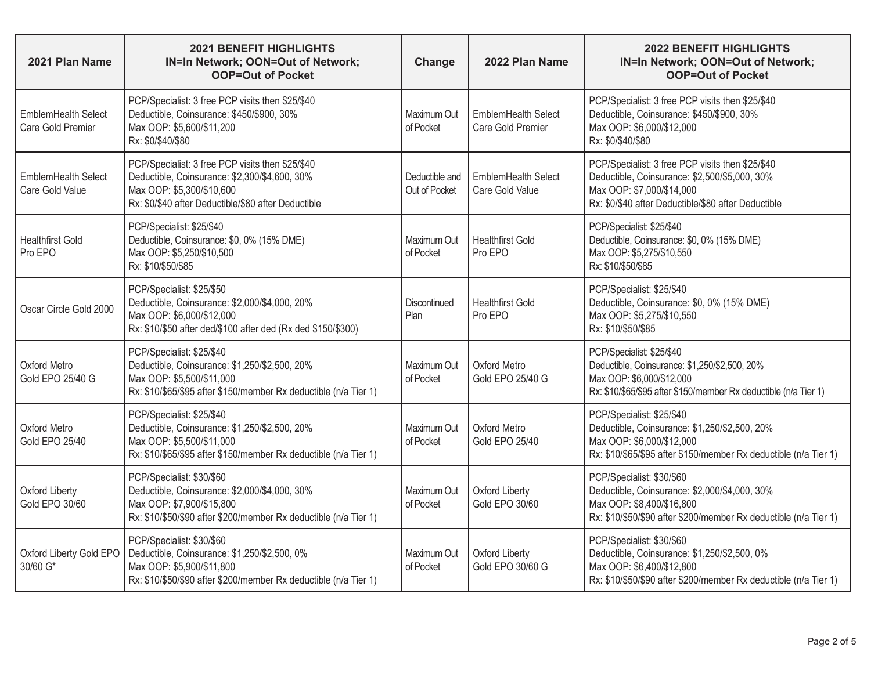| 2021 Plan Name                                  | <b>2021 BENEFIT HIGHLIGHTS</b><br>IN=In Network; OON=Out of Network;<br><b>OOP=Out of Pocket</b>                                                                                      | Change                          | 2022 Plan Name                           | <b>2022 BENEFIT HIGHLIGHTS</b><br>IN=In Network; OON=Out of Network;<br><b>OOP=Out of Pocket</b>                                                                                      |
|-------------------------------------------------|---------------------------------------------------------------------------------------------------------------------------------------------------------------------------------------|---------------------------------|------------------------------------------|---------------------------------------------------------------------------------------------------------------------------------------------------------------------------------------|
| <b>EmblemHealth Select</b><br>Care Gold Premier | PCP/Specialist: 3 free PCP visits then \$25/\$40<br>Deductible, Coinsurance: \$450/\$900, 30%<br>Max OOP: \$5,600/\$11,200<br>Rx: \$0/\$40/\$80                                       | Maximum Out<br>of Pocket        | EmblemHealth Select<br>Care Gold Premier | PCP/Specialist: 3 free PCP visits then \$25/\$40<br>Deductible, Coinsurance: \$450/\$900, 30%<br>Max OOP: \$6,000/\$12,000<br>Rx: \$0/\$40/\$80                                       |
| EmblemHealth Select<br>Care Gold Value          | PCP/Specialist: 3 free PCP visits then \$25/\$40<br>Deductible, Coinsurance: \$2,300/\$4,600, 30%<br>Max OOP: \$5,300/\$10,600<br>Rx: \$0/\$40 after Deductible/\$80 after Deductible | Deductible and<br>Out of Pocket | EmblemHealth Select<br>Care Gold Value   | PCP/Specialist: 3 free PCP visits then \$25/\$40<br>Deductible, Coinsurance: \$2,500/\$5,000, 30%<br>Max OOP: \$7,000/\$14,000<br>Rx: \$0/\$40 after Deductible/\$80 after Deductible |
| <b>Healthfirst Gold</b><br>Pro EPO              | PCP/Specialist: \$25/\$40<br>Deductible, Coinsurance: \$0, 0% (15% DME)<br>Max OOP: \$5,250/\$10,500<br>Rx: \$10/\$50/\$85                                                            | Maximum Out<br>of Pocket        | <b>Healthfirst Gold</b><br>Pro EPO       | PCP/Specialist: \$25/\$40<br>Deductible, Coinsurance: \$0, 0% (15% DME)<br>Max OOP: \$5,275/\$10,550<br>Rx: \$10/\$50/\$85                                                            |
| Oscar Circle Gold 2000                          | PCP/Specialist: \$25/\$50<br>Deductible, Coinsurance: \$2,000/\$4,000, 20%<br>Max OOP: \$6,000/\$12,000<br>Rx: \$10/\$50 after ded/\$100 after ded (Rx ded \$150/\$300)               | Discontinued<br>Plan            | <b>Healthfirst Gold</b><br>Pro EPO       | PCP/Specialist: \$25/\$40<br>Deductible, Coinsurance: \$0, 0% (15% DME)<br>Max OOP: \$5,275/\$10,550<br>Rx: \$10/\$50/\$85                                                            |
| Oxford Metro<br>Gold EPO 25/40 G                | PCP/Specialist: \$25/\$40<br>Deductible, Coinsurance: \$1,250/\$2,500, 20%<br>Max OOP: \$5,500/\$11,000<br>Rx: \$10/\$65/\$95 after \$150/member Rx deductible (n/a Tier 1)           | Maximum Out<br>of Pocket        | Oxford Metro<br>Gold EPO 25/40 G         | PCP/Specialist: \$25/\$40<br>Deductible, Coinsurance: \$1,250/\$2,500, 20%<br>Max OOP: \$6,000/\$12,000<br>Rx: \$10/\$65/\$95 after \$150/member Rx deductible (n/a Tier 1)           |
| Oxford Metro<br>Gold EPO 25/40                  | PCP/Specialist: \$25/\$40<br>Deductible, Coinsurance: \$1,250/\$2,500, 20%<br>Max OOP: \$5,500/\$11,000<br>Rx: \$10/\$65/\$95 after \$150/member Rx deductible (n/a Tier 1)           | Maximum Out<br>of Pocket        | Oxford Metro<br><b>Gold EPO 25/40</b>    | PCP/Specialist: \$25/\$40<br>Deductible, Coinsurance: \$1,250/\$2,500, 20%<br>Max OOP: \$6,000/\$12,000<br>Rx: \$10/\$65/\$95 after \$150/member Rx deductible (n/a Tier 1)           |
| <b>Oxford Liberty</b><br>Gold EPO 30/60         | PCP/Specialist: \$30/\$60<br>Deductible, Coinsurance: \$2,000/\$4,000, 30%<br>Max OOP: \$7,900/\$15,800<br>Rx: \$10/\$50/\$90 after \$200/member Rx deductible (n/a Tier 1)           | Maximum Out<br>of Pocket        | Oxford Liberty<br>Gold EPO 30/60         | PCP/Specialist: \$30/\$60<br>Deductible, Coinsurance: \$2,000/\$4,000, 30%<br>Max OOP: \$8,400/\$16,800<br>Rx: \$10/\$50/\$90 after \$200/member Rx deductible (n/a Tier 1)           |
| Oxford Liberty Gold EPO<br>30/60 G*             | PCP/Specialist: \$30/\$60<br>Deductible, Coinsurance: \$1,250/\$2,500, 0%<br>Max OOP: \$5,900/\$11,800<br>Rx: \$10/\$50/\$90 after \$200/member Rx deductible (n/a Tier 1)            | Maximum Out<br>of Pocket        | Oxford Liberty<br>Gold EPO 30/60 G       | PCP/Specialist: \$30/\$60<br>Deductible, Coinsurance: \$1,250/\$2,500, 0%<br>Max OOP: \$6,400/\$12,800<br>Rx: \$10/\$50/\$90 after \$200/member Rx deductible (n/a Tier 1)            |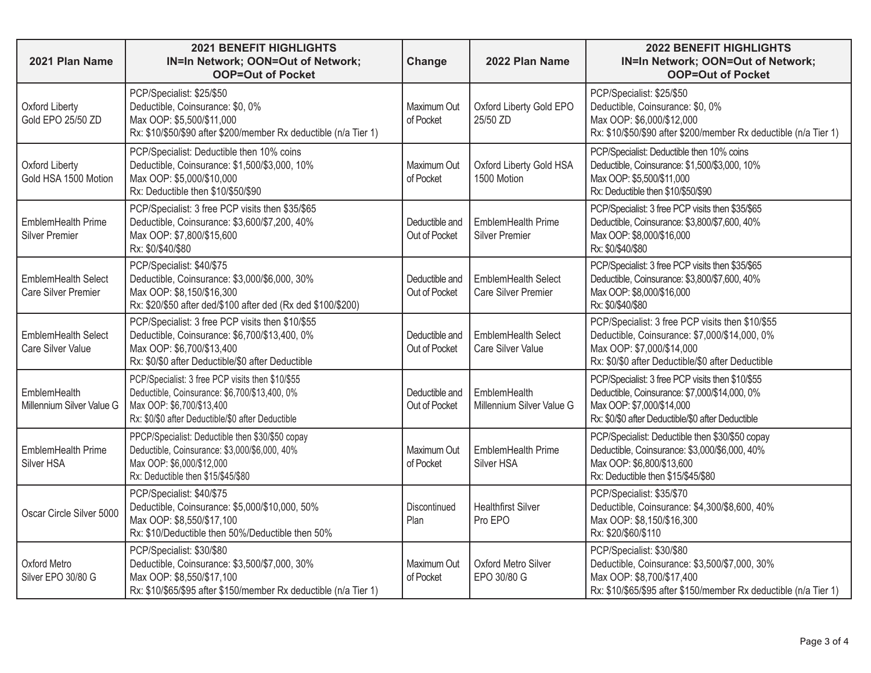| 2021 Plan Name                              | <b>2021 BENEFIT HIGHLIGHTS</b><br>IN=In Network; OON=Out of Network;<br><b>OOP=Out of Pocket</b>                                                                                    | Change                          | 2022 Plan Name                              | <b>2022 BENEFIT HIGHLIGHTS</b><br>IN=In Network; OON=Out of Network;<br><b>OOP=Out of Pocket</b>                                                                                    |
|---------------------------------------------|-------------------------------------------------------------------------------------------------------------------------------------------------------------------------------------|---------------------------------|---------------------------------------------|-------------------------------------------------------------------------------------------------------------------------------------------------------------------------------------|
| Oxford Liberty<br>Gold EPO 25/50 ZD         | PCP/Specialist: \$25/\$50<br>Deductible, Coinsurance: \$0, 0%<br>Max OOP: \$5,500/\$11,000<br>Rx: \$10/\$50/\$90 after \$200/member Rx deductible (n/a Tier 1)                      | Maximum Out<br>of Pocket        | Oxford Liberty Gold EPO<br>25/50 ZD         | PCP/Specialist: \$25/\$50<br>Deductible, Coinsurance: \$0, 0%<br>Max OOP: \$6,000/\$12,000<br>Rx: \$10/\$50/\$90 after \$200/member Rx deductible (n/a Tier 1)                      |
| Oxford Liberty<br>Gold HSA 1500 Motion      | PCP/Specialist: Deductible then 10% coins<br>Deductible, Coinsurance: \$1,500/\$3,000, 10%<br>Max OOP: \$5,000/\$10,000<br>Rx: Deductible then \$10/\$50/\$90                       | Maximum Out<br>of Pocket        | Oxford Liberty Gold HSA<br>1500 Motion      | PCP/Specialist: Deductible then 10% coins<br>Deductible, Coinsurance: \$1,500/\$3,000, 10%<br>Max OOP: \$5,500/\$11,000<br>Rx: Deductible then \$10/\$50/\$90                       |
| EmblemHealth Prime<br><b>Silver Premier</b> | PCP/Specialist: 3 free PCP visits then \$35/\$65<br>Deductible, Coinsurance: \$3,600/\$7,200, 40%<br>Max OOP: \$7,800/\$15,600<br>Rx: \$0/\$40/\$80                                 | Deductible and<br>Out of Pocket | EmblemHealth Prime<br><b>Silver Premier</b> | PCP/Specialist: 3 free PCP visits then \$35/\$65<br>Deductible, Coinsurance: \$3,800/\$7,600, 40%<br>Max OOP: \$8,000/\$16,000<br>Rx: \$0/\$40/\$80                                 |
| EmblemHealth Select<br>Care Silver Premier  | PCP/Specialist: \$40/\$75<br>Deductible, Coinsurance: \$3,000/\$6,000, 30%<br>Max OOP: \$8,150/\$16,300<br>Rx: \$20/\$50 after ded/\$100 after ded (Rx ded \$100/\$200)             | Deductible and<br>Out of Pocket | EmblemHealth Select<br>Care Silver Premier  | PCP/Specialist: 3 free PCP visits then \$35/\$65<br>Deductible, Coinsurance: \$3,800/\$7,600, 40%<br>Max OOP: \$8,000/\$16,000<br>Rx: \$0/\$40/\$80                                 |
| EmblemHealth Select<br>Care Silver Value    | PCP/Specialist: 3 free PCP visits then \$10/\$55<br>Deductible, Coinsurance: \$6,700/\$13,400, 0%<br>Max OOP: \$6,700/\$13,400<br>Rx: \$0/\$0 after Deductible/\$0 after Deductible | Deductible and<br>Out of Pocket | EmblemHealth Select<br>Care Silver Value    | PCP/Specialist: 3 free PCP visits then \$10/\$55<br>Deductible, Coinsurance: \$7,000/\$14,000, 0%<br>Max OOP: \$7,000/\$14,000<br>Rx: \$0/\$0 after Deductible/\$0 after Deductible |
| EmblemHealth<br>Millennium Silver Value G   | PCP/Specialist: 3 free PCP visits then \$10/\$55<br>Deductible, Coinsurance: \$6,700/\$13,400, 0%<br>Max OOP: \$6,700/\$13,400<br>Rx: \$0/\$0 after Deductible/\$0 after Deductible | Deductible and<br>Out of Pocket | EmblemHealth<br>Millennium Silver Value G   | PCP/Specialist: 3 free PCP visits then \$10/\$55<br>Deductible, Coinsurance: \$7,000/\$14,000, 0%<br>Max OOP: \$7,000/\$14,000<br>Rx: \$0/\$0 after Deductible/\$0 after Deductible |
| EmblemHealth Prime<br>Silver HSA            | PPCP/Specialist: Deductible then \$30/\$50 copay<br>Deductible, Coinsurance: \$3,000/\$6,000, 40%<br>Max OOP: \$6,000/\$12,000<br>Rx: Deductible then \$15/\$45/\$80                | Maximum Out<br>of Pocket        | EmblemHealth Prime<br>Silver HSA            | PCP/Specialist: Deductible then \$30/\$50 copay<br>Deductible, Coinsurance: \$3,000/\$6,000, 40%<br>Max OOP: \$6,800/\$13,600<br>Rx: Deductible then \$15/\$45/\$80                 |
| Oscar Circle Silver 5000                    | PCP/Specialist: \$40/\$75<br>Deductible, Coinsurance: \$5,000/\$10,000, 50%<br>Max OOP: \$8,550/\$17,100<br>Rx: \$10/Deductible then 50%/Deductible then 50%                        | Discontinued<br>Plan            | <b>Healthfirst Silver</b><br>Pro EPO        | PCP/Specialist: \$35/\$70<br>Deductible, Coinsurance: \$4,300/\$8,600, 40%<br>Max OOP: \$8,150/\$16,300<br>Rx: \$20/\$60/\$110                                                      |
| Oxford Metro<br>Silver EPO 30/80 G          | PCP/Specialist: \$30/\$80<br>Deductible, Coinsurance: \$3,500/\$7,000, 30%<br>Max OOP: \$8,550/\$17,100<br>Rx: \$10/\$65/\$95 after \$150/member Rx deductible (n/a Tier 1)         | Maximum Out<br>of Pocket        | Oxford Metro Silver<br>EPO 30/80 G          | PCP/Specialist: \$30/\$80<br>Deductible, Coinsurance: \$3,500/\$7,000, 30%<br>Max OOP: \$8,700/\$17,400<br>Rx: \$10/\$65/\$95 after \$150/member Rx deductible (n/a Tier 1)         |